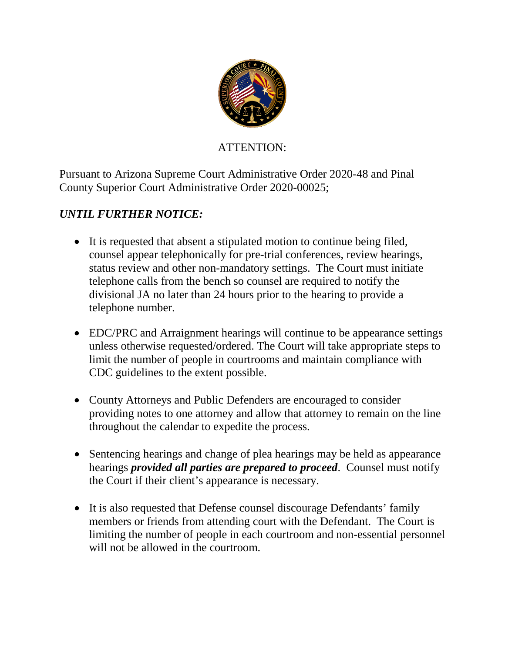

## ATTENTION:

Pursuant to Arizona Supreme Court Administrative Order 2020-48 and Pinal County Superior Court Administrative Order 2020-00025;

## *UNTIL FURTHER NOTICE:*

- It is requested that absent a stipulated motion to continue being filed, counsel appear telephonically for pre-trial conferences, review hearings, status review and other non-mandatory settings. The Court must initiate telephone calls from the bench so counsel are required to notify the divisional JA no later than 24 hours prior to the hearing to provide a telephone number.
- EDC/PRC and Arraignment hearings will continue to be appearance settings unless otherwise requested/ordered. The Court will take appropriate steps to limit the number of people in courtrooms and maintain compliance with CDC guidelines to the extent possible.
- County Attorneys and Public Defenders are encouraged to consider providing notes to one attorney and allow that attorney to remain on the line throughout the calendar to expedite the process.
- Sentencing hearings and change of plea hearings may be held as appearance hearings *provided all parties are prepared to proceed*. Counsel must notify the Court if their client's appearance is necessary.
- It is also requested that Defense counsel discourage Defendants' family members or friends from attending court with the Defendant. The Court is limiting the number of people in each courtroom and non-essential personnel will not be allowed in the courtroom.